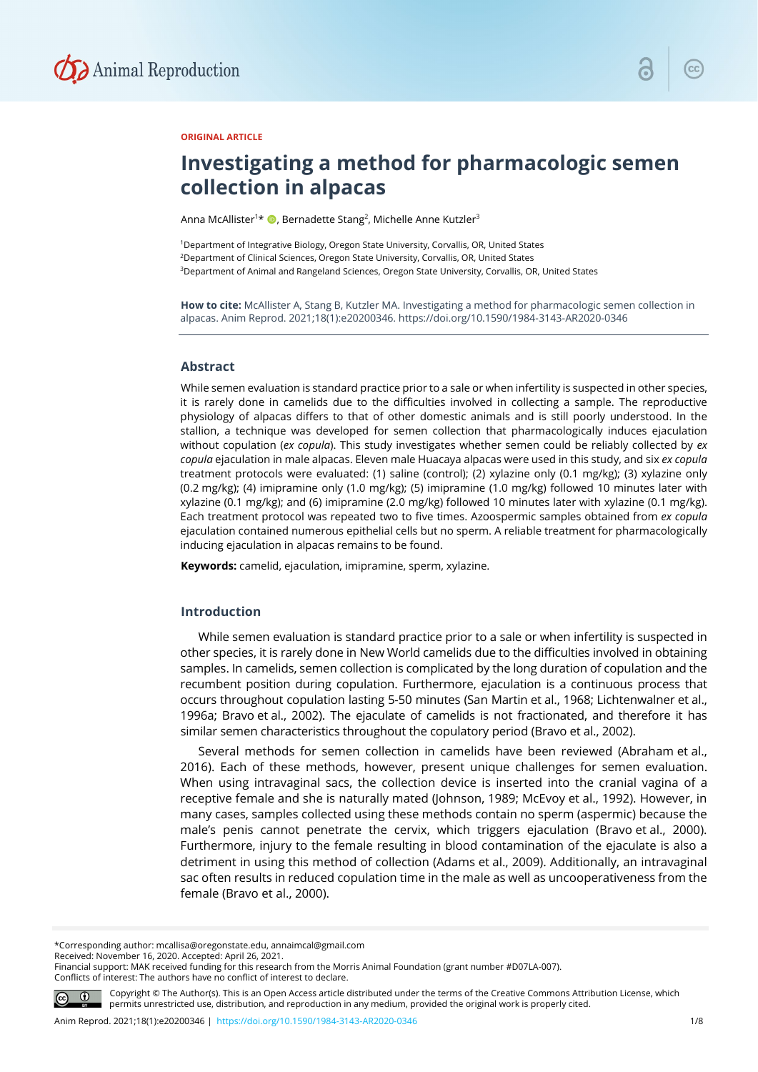

#### **ORIGINAL ARTICLE**

# **Investigating a method for pharmacologic semen collection in alpacas**

Anna McAllister1 \* , Bernadette Stang2 , Michelle Anne Kutzler3

<sup>1</sup>Department of Integrative Biology, Oregon State University, Corvallis, OR, United States 2Department of Clinical Sciences, Oregon State University, Corvallis, OR, United States <sup>3</sup>Department of Animal and Rangeland Sciences, Oregon State University, Corvallis, OR, United States

**How to cite:** McAllister A, Stang B, Kutzler MA. Investigating a method for pharmacologic semen collection in alpacas. Anim Reprod. 2021;18(1):e20200346. https://doi.org/10.1590/1984-3143-AR2020-0346

#### **Abstract**

While semen evaluation is standard practice prior to a sale or when infertility is suspected in other species, it is rarely done in camelids due to the difficulties involved in collecting a sample. The reproductive physiology of alpacas differs to that of other domestic animals and is still poorly understood. In the stallion, a technique was developed for semen collection that pharmacologically induces ejaculation without copulation (*ex copula*). This study investigates whether semen could be reliably collected by *ex copula* ejaculation in male alpacas. Eleven male Huacaya alpacas were used in this study, and six *ex copula* treatment protocols were evaluated: (1) saline (control); (2) xylazine only (0.1 mg/kg); (3) xylazine only (0.2 mg/kg); (4) imipramine only (1.0 mg/kg); (5) imipramine (1.0 mg/kg) followed 10 minutes later with xylazine (0.1 mg/kg); and (6) imipramine (2.0 mg/kg) followed 10 minutes later with xylazine (0.1 mg/kg). Each treatment protocol was repeated two to five times. Azoospermic samples obtained from *ex copula* ejaculation contained numerous epithelial cells but no sperm. A reliable treatment for pharmacologically inducing ejaculation in alpacas remains to be found.

**Keywords:** camelid, ejaculation, imipramine, sperm, xylazine.

### **Introduction**

While semen evaluation is standard practice prior to a sale or when infertility is suspected in other species, it is rarely done in New World camelids due to the difficulties involved in obtaining samples. In camelids, semen collection is complicated by the long duration of copulation and the recumbent position during copulation. Furthermore, ejaculation is a continuous process that occurs throughout copulation lasting 5-50 minutes (San Martin et al., 1968; Lichtenwalner et al., 1996a; Bravo et al., 2002). The ejaculate of camelids is not fractionated, and therefore it has similar semen characteristics throughout the copulatory period (Bravo et al., 2002).

Several methods for semen collection in camelids have been reviewed (Abraham et al., 2016). Each of these methods, however, present unique challenges for semen evaluation. When using intravaginal sacs, the collection device is inserted into the cranial vagina of a receptive female and she is naturally mated (Johnson, 1989; McEvoy et al., 1992). However, in many cases, samples collected using these methods contain no sperm (aspermic) because the male's penis cannot penetrate the cervix, which triggers ejaculation (Bravo et al., 2000). Furthermore, injury to the female resulting in blood contamination of the ejaculate is also a detriment in using this method of collection (Adams et al., 2009). Additionally, an intravaginal sac often results in reduced copulation time in the male as well as uncooperativeness from the female (Bravo et al., 2000).

Received: November 16, 2020. Accepted: April 26, 2021.

Financial support: MAK received funding for this research from the Morris Animal Foundation (grant number #D07LA-007). Conflicts of interest: The authors have no conflict of interest to declare.



Copyright © The Author(s). This is an Open Access article distributed under the terms of the Creative Commons Attribution License, which permits unrestricted use, distribution, and reproduction in any medium, provided the original work is properly cited.

<sup>\*</sup>Corresponding author: mcallisa@oregonstate.edu, annaimcal@gmail.com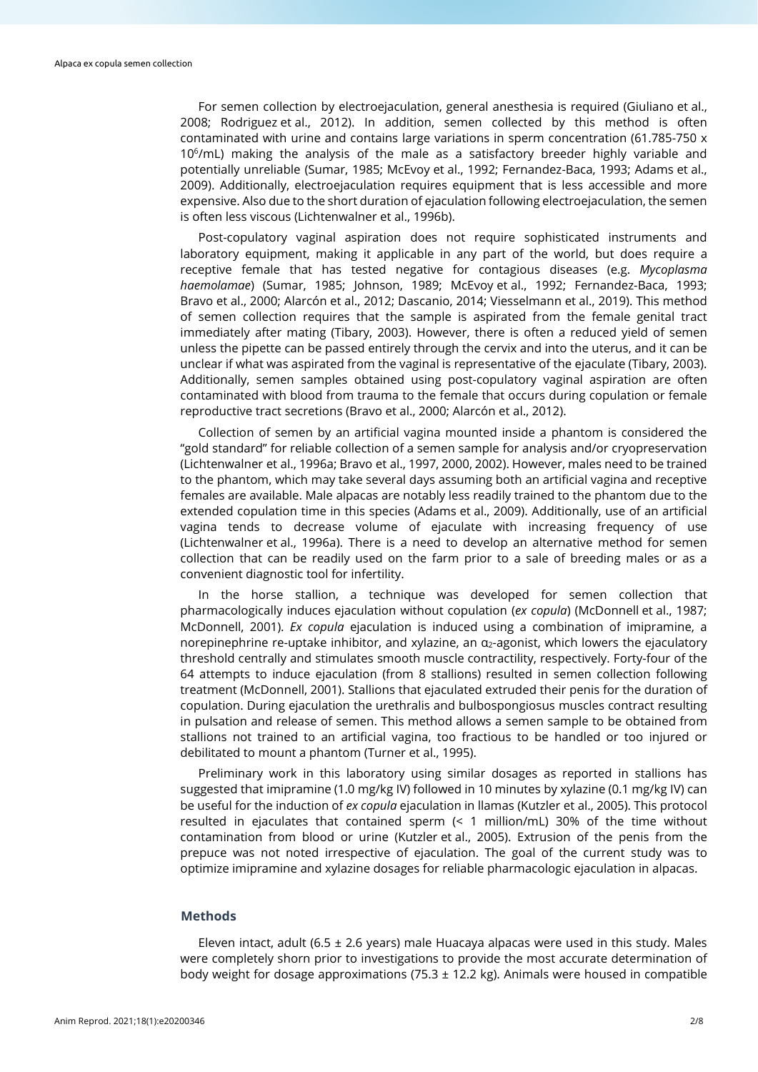For semen collection by electroejaculation, general anesthesia is required (Giuliano et al., 2008; Rodriguez et al., 2012). In addition, semen collected by this method is often contaminated with urine and contains large variations in sperm concentration (61.785-750 x 10<sup>6</sup>/mL) making the analysis of the male as a satisfactory breeder highly variable and potentially unreliable (Sumar, 1985; McEvoy et al., 1992; Fernandez-Baca, 1993; Adams et al., 2009). Additionally, electroejaculation requires equipment that is less accessible and more expensive. Also due to the short duration of ejaculation following electroejaculation, the semen is often less viscous (Lichtenwalner et al., 1996b).

Post-copulatory vaginal aspiration does not require sophisticated instruments and laboratory equipment, making it applicable in any part of the world, but does require a receptive female that has tested negative for contagious diseases (e.g. *Mycoplasma haemolamae*) (Sumar, 1985; Johnson, 1989; McEvoy et al., 1992; Fernandez-Baca, 1993; Bravo et al., 2000; Alarcón et al., 2012; Dascanio, 2014; Viesselmann et al., 2019). This method of semen collection requires that the sample is aspirated from the female genital tract immediately after mating (Tibary, 2003). However, there is often a reduced yield of semen unless the pipette can be passed entirely through the cervix and into the uterus, and it can be unclear if what was aspirated from the vaginal is representative of the ejaculate (Tibary, 2003). Additionally, semen samples obtained using post-copulatory vaginal aspiration are often contaminated with blood from trauma to the female that occurs during copulation or female reproductive tract secretions (Bravo et al., 2000; Alarcón et al., 2012).

Collection of semen by an artificial vagina mounted inside a phantom is considered the "gold standard" for reliable collection of a semen sample for analysis and/or cryopreservation (Lichtenwalner et al., 1996a; Bravo et al., 1997, 2000, 2002). However, males need to be trained to the phantom, which may take several days assuming both an artificial vagina and receptive females are available. Male alpacas are notably less readily trained to the phantom due to the extended copulation time in this species (Adams et al., 2009). Additionally, use of an artificial vagina tends to decrease volume of ejaculate with increasing frequency of use (Lichtenwalner et al., 1996a). There is a need to develop an alternative method for semen collection that can be readily used on the farm prior to a sale of breeding males or as a convenient diagnostic tool for infertility.

In the horse stallion, a technique was developed for semen collection that pharmacologically induces ejaculation without copulation (*ex copula*) (McDonnell et al., 1987; McDonnell, 2001). *Ex copula* ejaculation is induced using a combination of imipramine, a norepinephrine re-uptake inhibitor, and xylazine, an  $\alpha_2$ -agonist, which lowers the ejaculatory threshold centrally and stimulates smooth muscle contractility, respectively. Forty-four of the 64 attempts to induce ejaculation (from 8 stallions) resulted in semen collection following treatment (McDonnell, 2001). Stallions that ejaculated extruded their penis for the duration of copulation. During ejaculation the urethralis and bulbospongiosus muscles contract resulting in pulsation and release of semen. This method allows a semen sample to be obtained from stallions not trained to an artificial vagina, too fractious to be handled or too injured or debilitated to mount a phantom (Turner et al., 1995).

Preliminary work in this laboratory using similar dosages as reported in stallions has suggested that imipramine (1.0 mg/kg IV) followed in 10 minutes by xylazine (0.1 mg/kg IV) can be useful for the induction of *ex copula* ejaculation in llamas (Kutzler et al., 2005). This protocol resulted in ejaculates that contained sperm (< 1 million/mL) 30% of the time without contamination from blood or urine (Kutzler et al., 2005). Extrusion of the penis from the prepuce was not noted irrespective of ejaculation. The goal of the current study was to optimize imipramine and xylazine dosages for reliable pharmacologic ejaculation in alpacas.

## **Methods**

Eleven intact, adult (6.5  $\pm$  2.6 years) male Huacaya alpacas were used in this study. Males were completely shorn prior to investigations to provide the most accurate determination of body weight for dosage approximations (75.3  $\pm$  12.2 kg). Animals were housed in compatible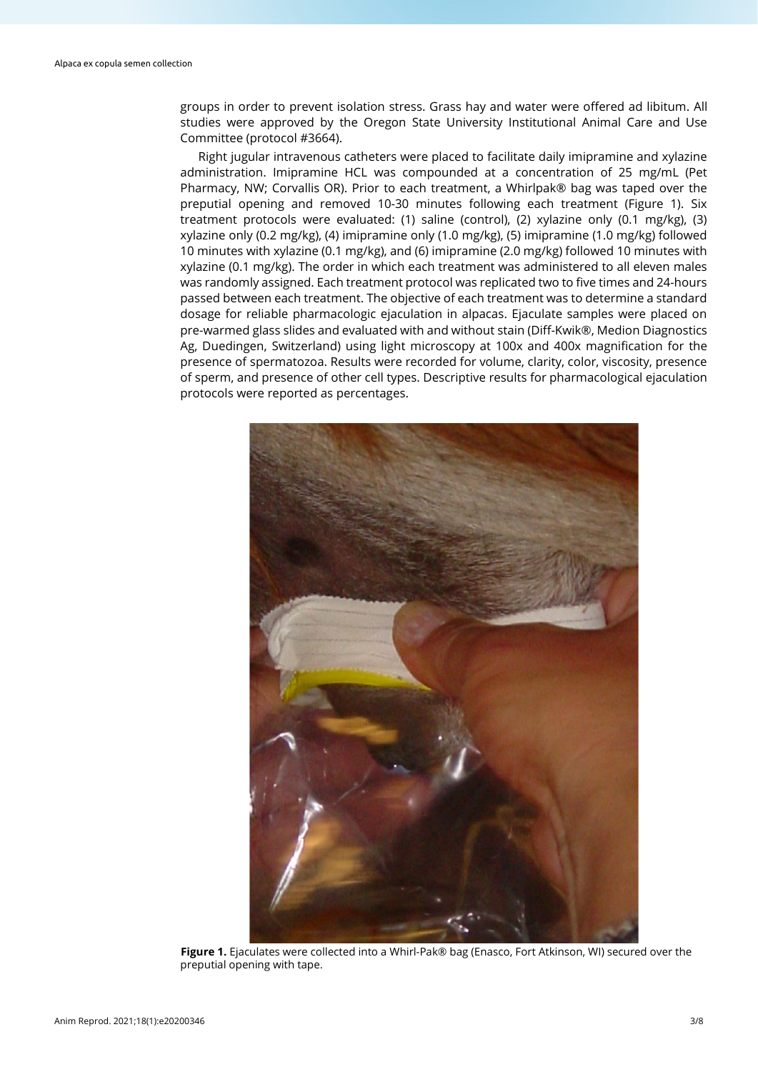groups in order to prevent isolation stress. Grass hay and water were offered ad libitum. All studies were approved by the Oregon State University Institutional Animal Care and Use Committee (protocol #3664).

Right jugular intravenous catheters were placed to facilitate daily imipramine and xylazine administration. Imipramine HCL was compounded at a concentration of 25 mg/mL (Pet Pharmacy, NW; Corvallis OR). Prior to each treatment, a Whirlpak® bag was taped over the preputial opening and removed 10-30 minutes following each treatment (Figure 1). Six treatment protocols were evaluated: (1) saline (control), (2) xylazine only (0.1 mg/kg), (3) xylazine only (0.2 mg/kg), (4) imipramine only (1.0 mg/kg), (5) imipramine (1.0 mg/kg) followed 10 minutes with xylazine (0.1 mg/kg), and (6) imipramine (2.0 mg/kg) followed 10 minutes with xylazine (0.1 mg/kg). The order in which each treatment was administered to all eleven males was randomly assigned. Each treatment protocol was replicated two to five times and 24-hours passed between each treatment. The objective of each treatment was to determine a standard dosage for reliable pharmacologic ejaculation in alpacas. Ejaculate samples were placed on pre-warmed glass slides and evaluated with and without stain (Diff-Kwik®, Medion Diagnostics Ag, Duedingen, Switzerland) using light microscopy at 100x and 400x magnification for the presence of spermatozoa. Results were recorded for volume, clarity, color, viscosity, presence of sperm, and presence of other cell types. Descriptive results for pharmacological ejaculation protocols were reported as percentages.



**Figure 1.** Ejaculates were collected into a Whirl-Pak® bag (Enasco, Fort Atkinson, WI) secured over the preputial opening with tape.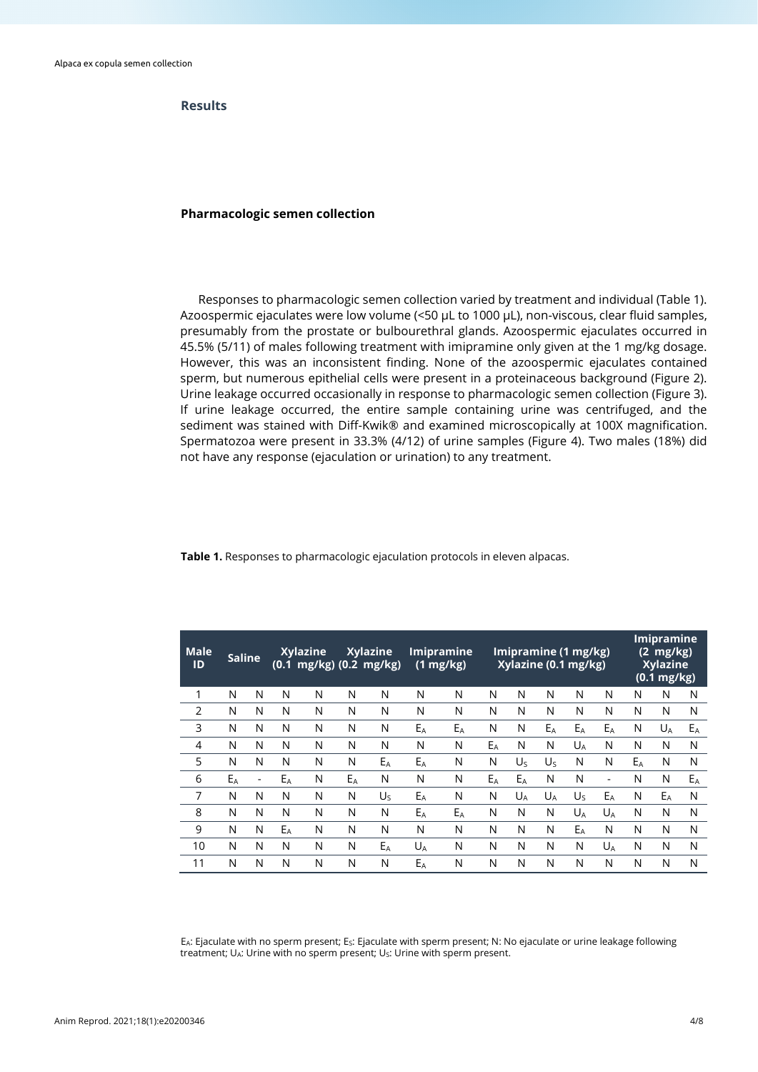## **Results**

#### **Pharmacologic semen collection**

Responses to pharmacologic semen collection varied by treatment and individual (Table 1). Azoospermic ejaculates were low volume (<50 µL to 1000 µL), non-viscous, clear fluid samples, presumably from the prostate or bulbourethral glands. Azoospermic ejaculates occurred in 45.5% (5/11) of males following treatment with imipramine only given at the 1 mg/kg dosage. However, this was an inconsistent finding. None of the azoospermic ejaculates contained sperm, but numerous epithelial cells were present in a proteinaceous background (Figure 2). Urine leakage occurred occasionally in response to pharmacologic semen collection (Figure 3). If urine leakage occurred, the entire sample containing urine was centrifuged, and the sediment was stained with Diff-Kwik® and examined microscopically at 100X magnification. Spermatozoa were present in 33.3% (4/12) of urine samples (Figure 4). Two males (18%) did not have any response (ejaculation or urination) to any treatment.

| <b>Male</b><br>ID | <b>Saline</b> |   | Xylazine<br>$(0.1 \, mg/kg)$ $(0.2 \, mg/kg)$ |   | <b>Xylazine</b> |         | <b>Imipramine</b><br>$(1 \text{ mg/kg})$ |       | Imipramine (1 mg/kg)<br>Xylazine (0.1 mg/kg) |                |         |         |       | Imipramine<br>$(2 \text{ mg/kg})$<br><b>Xylazine</b><br>$(0.1 \text{ mg/kg})$ |       |    |
|-------------------|---------------|---|-----------------------------------------------|---|-----------------|---------|------------------------------------------|-------|----------------------------------------------|----------------|---------|---------|-------|-------------------------------------------------------------------------------|-------|----|
| 1                 | N             | N | N                                             | N | N               | N       | N                                        | N     | N                                            | N              | N       | N       | N     | N                                                                             | N     | N  |
| $\overline{2}$    | N             | N | N                                             | N | N               | N       | N                                        | N     | N                                            | N              | N       | N       | N     | N                                                                             | N     | N  |
| 3                 | N             | N | N                                             | N | N               | N       | $E_A$                                    | $E_A$ | N                                            | N              | $E_A$   | $E_A$   | $E_A$ | N                                                                             | $U_A$ | Eρ |
| 4                 | N             | N | N                                             | N | N               | N       | N                                        | N     | EA                                           | N              | N       | $U_A$   | N     | N                                                                             | N     | N  |
| 5                 | N             | N | N                                             | N | N               | EA      | EA                                       | N     | N                                            | $U_{S}$        | $U_{S}$ | N       | N     | $E_A$                                                                         | N     | N  |
| 6                 | $E_A$         | ٠ | $E_A$                                         | N | $E_A$           | N       | N                                        | N     | $E_A$                                        | $E_A$          | N       | N       | ٠     | N                                                                             | N     | Eρ |
| 7                 | N             | N | N                                             | N | N               | $U_{S}$ | EA                                       | N     | N                                            | U <sub>A</sub> | $U_A$   | $U_{S}$ | EA    | N                                                                             | EA    | N  |
| 8                 | N             | N | N                                             | N | N               | N       | $E_A$                                    | $E_A$ | N                                            | N              | N       | $U_A$   | $U_A$ | N                                                                             | N     | N  |
| 9                 | N             | N | $E_A$                                         | N | N               | N       | N                                        | N     | N                                            | N              | N       | $E_A$   | N     | N                                                                             | N     | N  |
| 10                | N             | N | N                                             | N | N               | $E_A$   | $U_A$                                    | N     | N                                            | N              | N       | N       | $U_A$ | N                                                                             | N     | N  |
| 11                | N             | N | N                                             | N | N               | N       | $E_A$                                    | N     | N                                            | N              | N       | N       | N     | N                                                                             | N     | N  |

**Table 1.** Responses to pharmacologic ejaculation protocols in eleven alpacas.

E<sub>A</sub>: Ejaculate with no sperm present; E<sub>S</sub>: Ejaculate with sperm present; N: No ejaculate or urine leakage following treatment; UA: Urine with no sperm present; US: Urine with sperm present.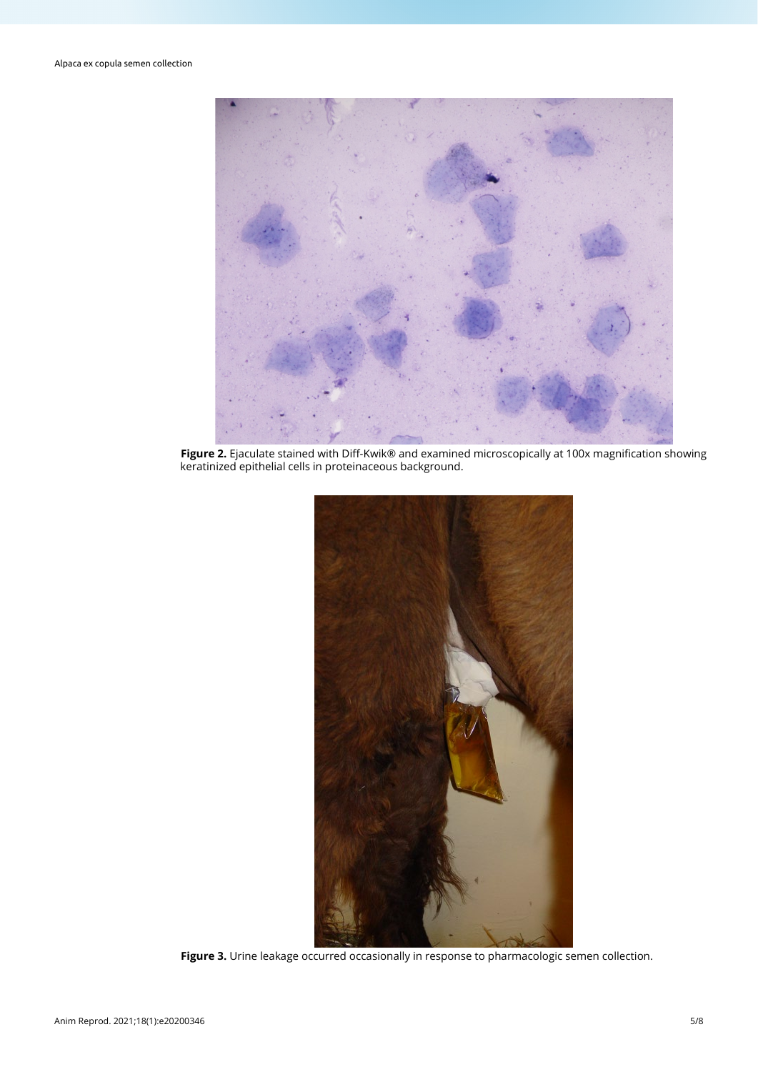

**Figure 2.** Ejaculate stained with Diff-Kwik® and examined microscopically at 100x magnification showing keratinized epithelial cells in proteinaceous background.



**Figure 3.** Urine leakage occurred occasionally in response to pharmacologic semen collection.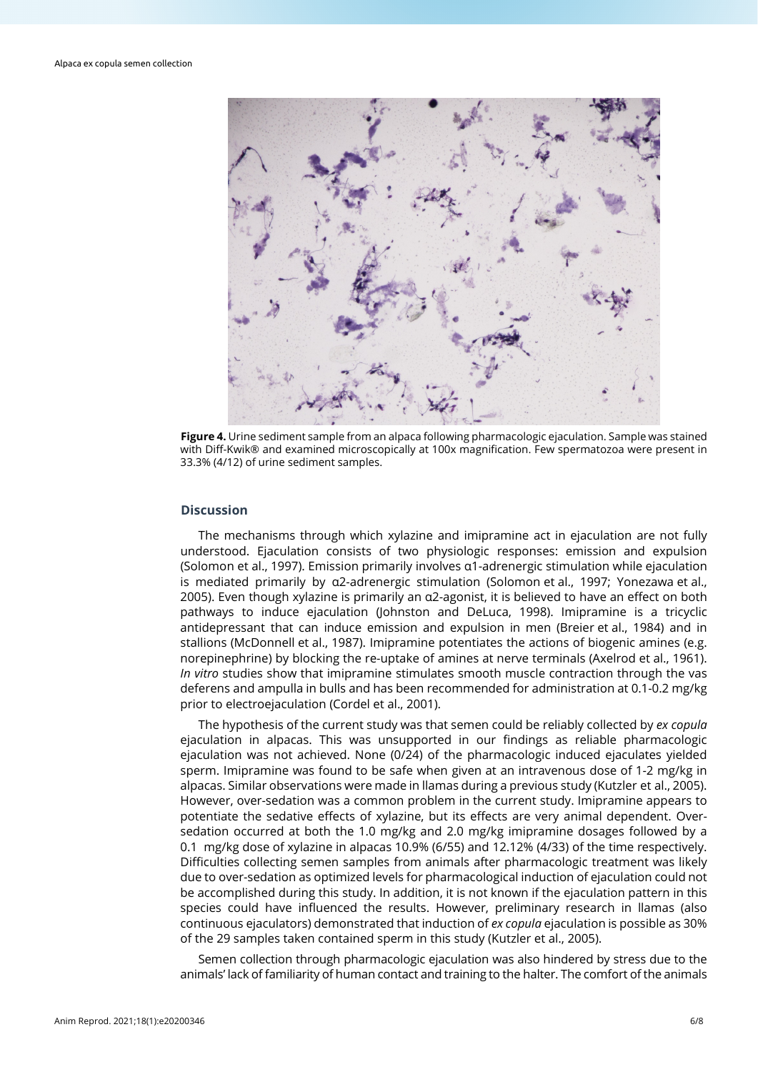

**Figure 4.** Urine sediment sample from an alpaca following pharmacologic ejaculation. Sample was stained with Diff-Kwik® and examined microscopically at 100x magnification. Few spermatozoa were present in 33.3% (4/12) of urine sediment samples.

### **Discussion**

The mechanisms through which xylazine and imipramine act in ejaculation are not fully understood. Ejaculation consists of two physiologic responses: emission and expulsion (Solomon et al., 1997). Emission primarily involves α1-adrenergic stimulation while ejaculation is mediated primarily by α2-adrenergic stimulation (Solomon et al., 1997; Yonezawa et al., 2005). Even though xylazine is primarily an α2-agonist, it is believed to have an effect on both pathways to induce ejaculation (Johnston and DeLuca, 1998). Imipramine is a tricyclic antidepressant that can induce emission and expulsion in men (Breier et al., 1984) and in stallions (McDonnell et al., 1987). Imipramine potentiates the actions of biogenic amines (e.g. norepinephrine) by blocking the re-uptake of amines at nerve terminals (Axelrod et al., 1961). *In vitro* studies show that imipramine stimulates smooth muscle contraction through the vas deferens and ampulla in bulls and has been recommended for administration at 0.1-0.2 mg/kg prior to electroejaculation (Cordel et al., 2001).

The hypothesis of the current study was that semen could be reliably collected by *ex copula* ejaculation in alpacas. This was unsupported in our findings as reliable pharmacologic ejaculation was not achieved. None (0/24) of the pharmacologic induced ejaculates yielded sperm. Imipramine was found to be safe when given at an intravenous dose of 1-2 mg/kg in alpacas. Similar observations were made in llamas during a previous study (Kutzler et al., 2005). However, over-sedation was a common problem in the current study. Imipramine appears to potentiate the sedative effects of xylazine, but its effects are very animal dependent. Oversedation occurred at both the 1.0 mg/kg and 2.0 mg/kg imipramine dosages followed by a 0.1 mg/kg dose of xylazine in alpacas 10.9% (6/55) and 12.12% (4/33) of the time respectively. Difficulties collecting semen samples from animals after pharmacologic treatment was likely due to over-sedation as optimized levels for pharmacological induction of ejaculation could not be accomplished during this study. In addition, it is not known if the ejaculation pattern in this species could have influenced the results. However, preliminary research in llamas (also continuous ejaculators) demonstrated that induction of *ex copula* ejaculation is possible as 30% of the 29 samples taken contained sperm in this study (Kutzler et al., 2005).

Semen collection through pharmacologic ejaculation was also hindered by stress due to the animals' lack of familiarity of human contact and training to the halter. The comfort of the animals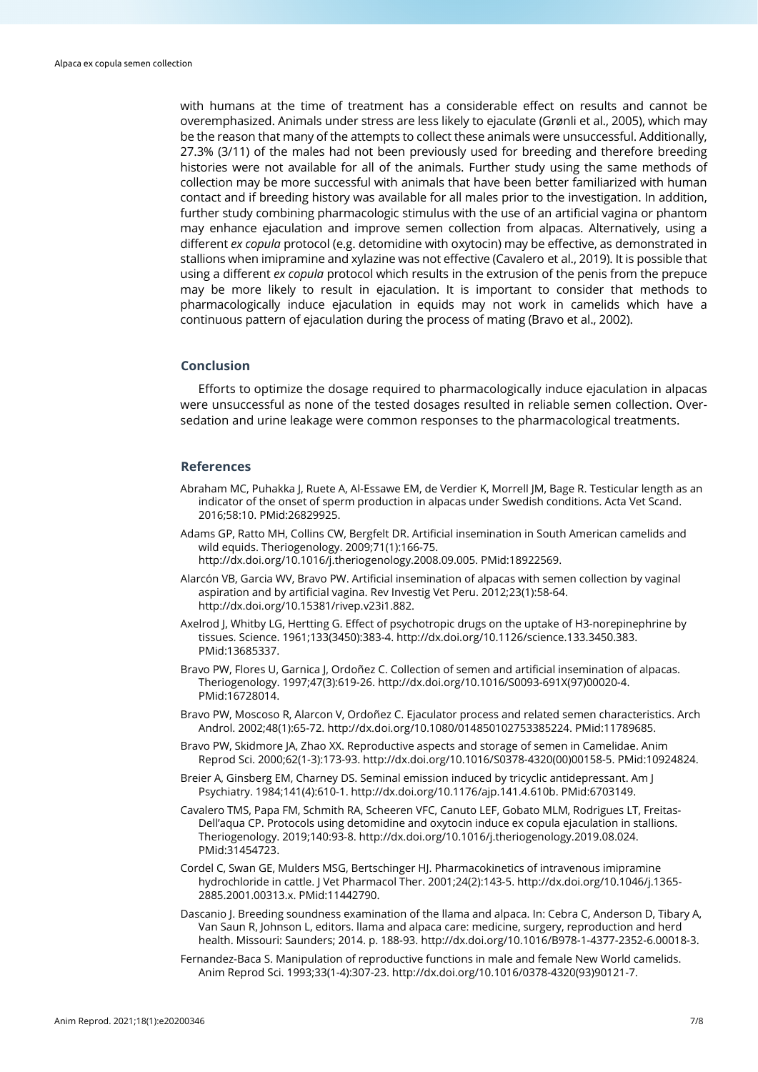with humans at the time of treatment has a considerable effect on results and cannot be overemphasized. Animals under stress are less likely to ejaculate (Grønli et al., 2005), which may be the reason that many of the attempts to collect these animals were unsuccessful. Additionally, 27.3% (3/11) of the males had not been previously used for breeding and therefore breeding histories were not available for all of the animals. Further study using the same methods of collection may be more successful with animals that have been better familiarized with human contact and if breeding history was available for all males prior to the investigation. In addition, further study combining pharmacologic stimulus with the use of an artificial vagina or phantom may enhance ejaculation and improve semen collection from alpacas. Alternatively, using a different *ex copula* protocol (e.g. detomidine with oxytocin) may be effective, as demonstrated in stallions when imipramine and xylazine was not effective (Cavalero et al., 2019). It is possible that using a different *ex copula* protocol which results in the extrusion of the penis from the prepuce may be more likely to result in ejaculation. It is important to consider that methods to pharmacologically induce ejaculation in equids may not work in camelids which have a continuous pattern of ejaculation during the process of mating (Bravo et al., 2002).

#### **Conclusion**

Efforts to optimize the dosage required to pharmacologically induce ejaculation in alpacas were unsuccessful as none of the tested dosages resulted in reliable semen collection. Oversedation and urine leakage were common responses to the pharmacological treatments.

## **References**

- Abraham MC, Puhakka J, Ruete A, Al-Essawe EM, de Verdier K, Morrell JM, Bage R. Testicular length as an indicator of the onset of sperm production in alpacas under Swedish conditions. Acta Vet Scand. 2016;58:10. [PMid:26829925.](https://www.ncbi.nlm.nih.gov/entrez/query.fcgi?cmd=Retrieve&db=PubMed&list_uids=26829925&dopt=Abstract)
- Adams GP, Ratto MH, Collins CW, Bergfelt DR. Artificial insemination in South American camelids and wild equids. Theriogenology. 2009;71(1):166-75. [http://dx.doi.org/10.1016/j.theriogenology.2008.09.005.](https://doi.org/10.1016/j.theriogenology.2008.09.005) [PMid:18922569.](https://www.ncbi.nlm.nih.gov/entrez/query.fcgi?cmd=Retrieve&db=PubMed&list_uids=18922569&dopt=Abstract)
- Alarcón VB, Garcia WV, Bravo PW. Artificial insemination of alpacas with semen collection by vaginal aspiration and by artificial vagina. Rev Investig Vet Peru. 2012;23(1):58-64. [http://dx.doi.org/10.15381/rivep.v23i1.882.](https://doi.org/10.15381/rivep.v23i1.882)
- Axelrod J, Whitby LG, Hertting G. Effect of psychotropic drugs on the uptake of H3-norepinephrine by tissues. Science. 1961;133(3450):383-4[. http://dx.doi.org/10.1126/science.133.3450.383.](https://doi.org/10.1126/science.133.3450.383) [PMid:13685337.](https://www.ncbi.nlm.nih.gov/entrez/query.fcgi?cmd=Retrieve&db=PubMed&list_uids=13685337&dopt=Abstract)
- Bravo PW, Flores U, Garnica I, Ordoñez C, Collection of semen and artificial insemination of alpacas. Theriogenology. 1997;47(3):619-26. [http://dx.doi.org/10.1016/S0093-691X\(97\)00020-4.](https://doi.org/10.1016/S0093-691X(97)00020-4) [PMid:16728014.](https://www.ncbi.nlm.nih.gov/entrez/query.fcgi?cmd=Retrieve&db=PubMed&list_uids=16728014&dopt=Abstract)
- Bravo PW, Moscoso R, Alarcon V, Ordoñez C. Ejaculator process and related semen characteristics. Arch Androl. 2002;48(1):65-72[. http://dx.doi.org/10.1080/014850102753385224.](https://doi.org/10.1080/014850102753385224) [PMid:11789685.](https://www.ncbi.nlm.nih.gov/entrez/query.fcgi?cmd=Retrieve&db=PubMed&list_uids=11789685&dopt=Abstract)
- Bravo PW, Skidmore JA, Zhao XX. Reproductive aspects and storage of semen in Camelidae. Anim Reprod Sci. 2000;62(1-3):173-93[. http://dx.doi.org/10.1016/S0378-4320\(00\)00158-5.](https://doi.org/10.1016/S0378-4320(00)00158-5) [PMid:10924824.](https://www.ncbi.nlm.nih.gov/entrez/query.fcgi?cmd=Retrieve&db=PubMed&list_uids=10924824&dopt=Abstract)
- Breier A, Ginsberg EM, Charney DS. Seminal emission induced by tricyclic antidepressant. Am J Psychiatry. 1984;141(4):610-1. [http://dx.doi.org/10.1176/ajp.141.4.610b.](https://doi.org/10.1176/ajp.141.4.610b) [PMid:6703149.](https://www.ncbi.nlm.nih.gov/entrez/query.fcgi?cmd=Retrieve&db=PubMed&list_uids=6703149&dopt=Abstract)
- Cavalero TMS, Papa FM, Schmith RA, Scheeren VFC, Canuto LEF, Gobato MLM, Rodrigues LT, Freitas-Dell'aqua CP. Protocols using detomidine and oxytocin induce ex copula ejaculation in stallions. Theriogenology. 2019;140:93-8. [http://dx.doi.org/10.1016/j.theriogenology.2019.08.024.](https://doi.org/10.1016/j.theriogenology.2019.08.024) [PMid:31454723.](https://www.ncbi.nlm.nih.gov/entrez/query.fcgi?cmd=Retrieve&db=PubMed&list_uids=31454723&dopt=Abstract)
- Cordel C, Swan GE, Mulders MSG, Bertschinger HJ. Pharmacokinetics of intravenous imipramine hydrochloride in cattle. J Vet Pharmacol Ther. 2001;24(2):143-5[. http://dx.doi.org/10.1046/j.1365-](https://doi.org/10.1046/j.1365-2885.2001.00313.x) [2885.2001.00313.x.](https://doi.org/10.1046/j.1365-2885.2001.00313.x) [PMid:11442790.](https://www.ncbi.nlm.nih.gov/entrez/query.fcgi?cmd=Retrieve&db=PubMed&list_uids=11442790&dopt=Abstract)
- Dascanio J. Breeding soundness examination of the llama and alpaca. In: Cebra C, Anderson D, Tibary A, Van Saun R, Johnson L, editors. llama and alpaca care: medicine, surgery, reproduction and herd health. Missouri: Saunders; 2014. p. 188-93. [http://dx.doi.org/10.1016/B978-1-4377-2352-6.00018-3.](https://doi.org/10.1016/B978-1-4377-2352-6.00018-3)
- Fernandez-Baca S. Manipulation of reproductive functions in male and female New World camelids. Anim Reprod Sci. 1993;33(1-4):307-23. [http://dx.doi.org/10.1016/0378-4320\(93\)90121-7.](https://doi.org/10.1016/0378-4320(93)90121-7)